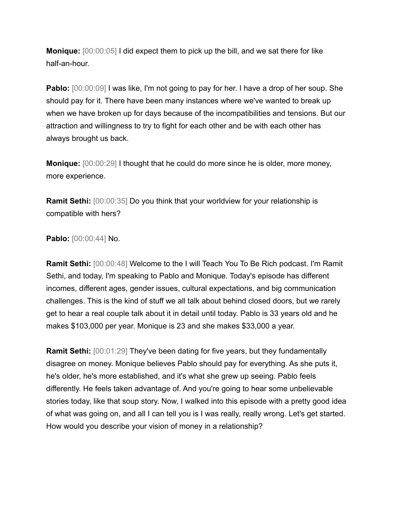**Monique:** [00:00:05] I did expect them to pick up the bill, and we sat there for like half-an-hour.

**Pablo:**  $[00:00:09]$  I was like, I'm not going to pay for her. I have a drop of her soup. She should pay for it. There have been many instances where we've wanted to break up when we have broken up for days because of the incompatibilities and tensions. But our attraction and willingness to try to fight for each other and be with each other has always brought us back.

**Monique:** [00:00:29] I thought that he could do more since he is older, more money, more experience.

**Ramit Sethi:** [00:00:35] Do you think that your worldview for your relationship is compatible with hers?

**Pablo:** [00:00:44] No.

**Ramit Sethi:** [00:00:48] Welcome to the I will Teach You To Be Rich podcast. I'm Ramit Sethi, and today, I'm speaking to Pablo and Monique. Today's episode has different incomes, different ages, gender issues, cultural expectations, and big communication challenges. This is the kind of stuff we all talk about behind closed doors, but we rarely get to hear a real couple talk about it in detail until today. Pablo is 33 years old and he makes \$103,000 per year. Monique is 23 and she makes \$33,000 a year.

**Ramit Sethi:** [00:01:29] They've been dating for five years, but they fundamentally disagree on money. Monique believes Pablo should pay for everything. As she puts it, he's older, he's more established, and it's what she grew up seeing. Pablo feels differently. He feels taken advantage of. And you're going to hear some unbelievable stories today, like that soup story. Now, I walked into this episode with a pretty good idea of what was going on, and all I can tell you is I was really, really wrong. Let's get started. How would you describe your vision of money in a relationship?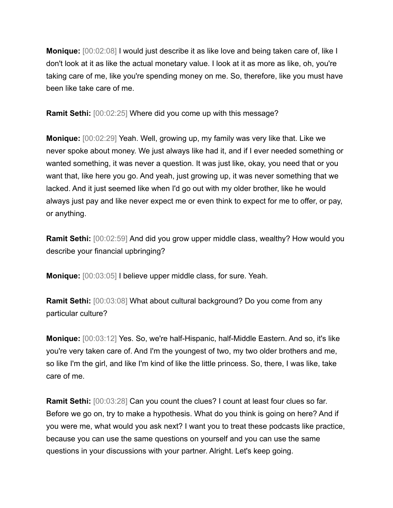**Monique:** [00:02:08] I would just describe it as like love and being taken care of, like I don't look at it as like the actual monetary value. I look at it as more as like, oh, you're taking care of me, like you're spending money on me. So, therefore, like you must have been like take care of me.

**Ramit Sethi:** [00:02:25] Where did you come up with this message?

**Monique:** [00:02:29] Yeah. Well, growing up, my family was very like that. Like we never spoke about money. We just always like had it, and if I ever needed something or wanted something, it was never a question. It was just like, okay, you need that or you want that, like here you go. And yeah, just growing up, it was never something that we lacked. And it just seemed like when I'd go out with my older brother, like he would always just pay and like never expect me or even think to expect for me to offer, or pay, or anything.

**Ramit Sethi:** [00:02:59] And did you grow upper middle class, wealthy? How would you describe your financial upbringing?

**Monique:** [00:03:05] I believe upper middle class, for sure. Yeah.

**Ramit Sethi:** [00:03:08] What about cultural background? Do you come from any particular culture?

**Monique:** [00:03:12] Yes. So, we're half-Hispanic, half-Middle Eastern. And so, it's like you're very taken care of. And I'm the youngest of two, my two older brothers and me, so like I'm the girl, and like I'm kind of like the little princess. So, there, I was like, take care of me.

**Ramit Sethi:** [00:03:28] Can you count the clues? I count at least four clues so far. Before we go on, try to make a hypothesis. What do you think is going on here? And if you were me, what would you ask next? I want you to treat these podcasts like practice, because you can use the same questions on yourself and you can use the same questions in your discussions with your partner. Alright. Let's keep going.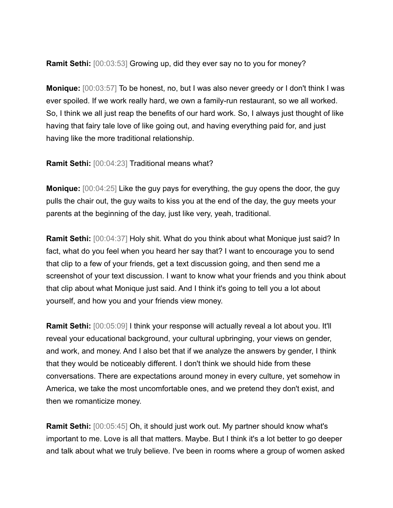**Ramit Sethi:** [00:03:53] Growing up, did they ever say no to you for money?

**Monique:** [00:03:57] To be honest, no, but I was also never greedy or I don't think I was ever spoiled. If we work really hard, we own a family-run restaurant, so we all worked. So, I think we all just reap the benefits of our hard work. So, I always just thought of like having that fairy tale love of like going out, and having everything paid for, and just having like the more traditional relationship.

**Ramit Sethi:** [00:04:23] Traditional means what?

**Monique:** [00:04:25] Like the guy pays for everything, the guy opens the door, the guy pulls the chair out, the guy waits to kiss you at the end of the day, the guy meets your parents at the beginning of the day, just like very, yeah, traditional.

**Ramit Sethi:** [00:04:37] Holy shit. What do you think about what Monique just said? In fact, what do you feel when you heard her say that? I want to encourage you to send that clip to a few of your friends, get a text discussion going, and then send me a screenshot of your text discussion. I want to know what your friends and you think about that clip about what Monique just said. And I think it's going to tell you a lot about yourself, and how you and your friends view money.

**Ramit Sethi:** [00:05:09] I think your response will actually reveal a lot about you. It'll reveal your educational background, your cultural upbringing, your views on gender, and work, and money. And I also bet that if we analyze the answers by gender, I think that they would be noticeably different. I don't think we should hide from these conversations. There are expectations around money in every culture, yet somehow in America, we take the most uncomfortable ones, and we pretend they don't exist, and then we romanticize money.

**Ramit Sethi:** [00:05:45] Oh, it should just work out. My partner should know what's important to me. Love is all that matters. Maybe. But I think it's a lot better to go deeper and talk about what we truly believe. I've been in rooms where a group of women asked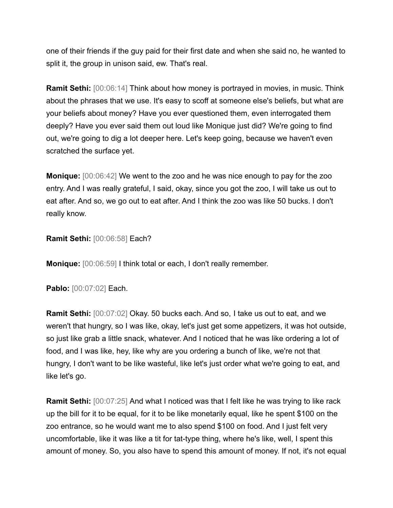one of their friends if the guy paid for their first date and when she said no, he wanted to split it, the group in unison said, ew. That's real.

**Ramit Sethi:** [00:06:14] Think about how money is portrayed in movies, in music. Think about the phrases that we use. It's easy to scoff at someone else's beliefs, but what are your beliefs about money? Have you ever questioned them, even interrogated them deeply? Have you ever said them out loud like Monique just did? We're going to find out, we're going to dig a lot deeper here. Let's keep going, because we haven't even scratched the surface yet.

**Monique:** [00:06:42] We went to the zoo and he was nice enough to pay for the zoo entry. And I was really grateful, I said, okay, since you got the zoo, I will take us out to eat after. And so, we go out to eat after. And I think the zoo was like 50 bucks. I don't really know.

## **Ramit Sethi:** [00:06:58] Each?

**Monique:** [00:06:59] I think total or each, I don't really remember.

**Pablo:** [00:07:02] Each.

**Ramit Sethi:** [00:07:02] Okay. 50 bucks each. And so, I take us out to eat, and we weren't that hungry, so I was like, okay, let's just get some appetizers, it was hot outside, so just like grab a little snack, whatever. And I noticed that he was like ordering a lot of food, and I was like, hey, like why are you ordering a bunch of like, we're not that hungry, I don't want to be like wasteful, like let's just order what we're going to eat, and like let's go.

**Ramit Sethi:** [00:07:25] And what I noticed was that I felt like he was trying to like rack up the bill for it to be equal, for it to be like monetarily equal, like he spent \$100 on the zoo entrance, so he would want me to also spend \$100 on food. And I just felt very uncomfortable, like it was like a tit for tat-type thing, where he's like, well, I spent this amount of money. So, you also have to spend this amount of money. If not, it's not equal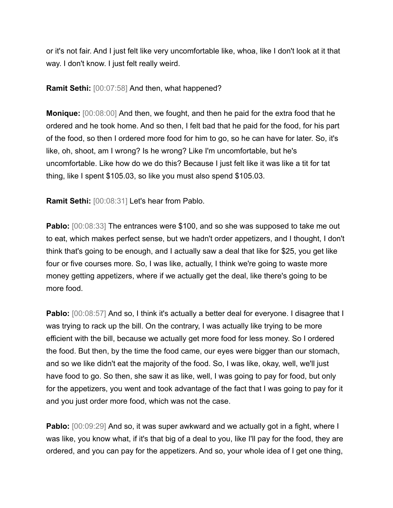or it's not fair. And I just felt like very uncomfortable like, whoa, like I don't look at it that way. I don't know. I just felt really weird.

**Ramit Sethi:** [00:07:58] And then, what happened?

**Monique:** [00:08:00] And then, we fought, and then he paid for the extra food that he ordered and he took home. And so then, I felt bad that he paid for the food, for his part of the food, so then I ordered more food for him to go, so he can have for later. So, it's like, oh, shoot, am I wrong? Is he wrong? Like I'm uncomfortable, but he's uncomfortable. Like how do we do this? Because I just felt like it was like a tit for tat thing, like I spent \$105.03, so like you must also spend \$105.03.

**Ramit Sethi:** [00:08:31] Let's hear from Pablo.

**Pablo:** [00:08:33] The entrances were \$100, and so she was supposed to take me out to eat, which makes perfect sense, but we hadn't order appetizers, and I thought, I don't think that's going to be enough, and I actually saw a deal that like for \$25, you get like four or five courses more. So, I was like, actually, I think we're going to waste more money getting appetizers, where if we actually get the deal, like there's going to be more food.

**Pablo:** [00:08:57] And so, I think it's actually a better deal for everyone. I disagree that I was trying to rack up the bill. On the contrary, I was actually like trying to be more efficient with the bill, because we actually get more food for less money. So I ordered the food. But then, by the time the food came, our eyes were bigger than our stomach, and so we like didn't eat the majority of the food. So, I was like, okay, well, we'll just have food to go. So then, she saw it as like, well, I was going to pay for food, but only for the appetizers, you went and took advantage of the fact that I was going to pay for it and you just order more food, which was not the case.

**Pablo:** [00:09:29] And so, it was super awkward and we actually got in a fight, where I was like, you know what, if it's that big of a deal to you, like I'll pay for the food, they are ordered, and you can pay for the appetizers. And so, your whole idea of I get one thing,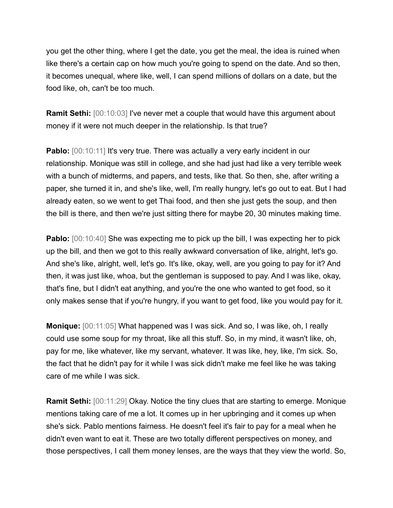you get the other thing, where I get the date, you get the meal, the idea is ruined when like there's a certain cap on how much you're going to spend on the date. And so then, it becomes unequal, where like, well, I can spend millions of dollars on a date, but the food like, oh, can't be too much.

**Ramit Sethi:** [00:10:03] I've never met a couple that would have this argument about money if it were not much deeper in the relationship. Is that true?

**Pablo:** [00:10:11] It's very true. There was actually a very early incident in our relationship. Monique was still in college, and she had just had like a very terrible week with a bunch of midterms, and papers, and tests, like that. So then, she, after writing a paper, she turned it in, and she's like, well, I'm really hungry, let's go out to eat. But I had already eaten, so we went to get Thai food, and then she just gets the soup, and then the bill is there, and then we're just sitting there for maybe 20, 30 minutes making time.

**Pablo:** [00:10:40] She was expecting me to pick up the bill, I was expecting her to pick up the bill, and then we got to this really awkward conversation of like, alright, let's go. And she's like, alright, well, let's go. It's like, okay, well, are you going to pay for it? And then, it was just like, whoa, but the gentleman is supposed to pay. And I was like, okay, that's fine, but I didn't eat anything, and you're the one who wanted to get food, so it only makes sense that if you're hungry, if you want to get food, like you would pay for it.

**Monique:** [00:11:05] What happened was I was sick. And so, I was like, oh, I really could use some soup for my throat, like all this stuff. So, in my mind, it wasn't like, oh, pay for me, like whatever, like my servant, whatever. It was like, hey, like, I'm sick. So, the fact that he didn't pay for it while I was sick didn't make me feel like he was taking care of me while I was sick.

**Ramit Sethi:** [00:11:29] Okay. Notice the tiny clues that are starting to emerge. Monique mentions taking care of me a lot. It comes up in her upbringing and it comes up when she's sick. Pablo mentions fairness. He doesn't feel it's fair to pay for a meal when he didn't even want to eat it. These are two totally different perspectives on money, and those perspectives, I call them money lenses, are the ways that they view the world. So,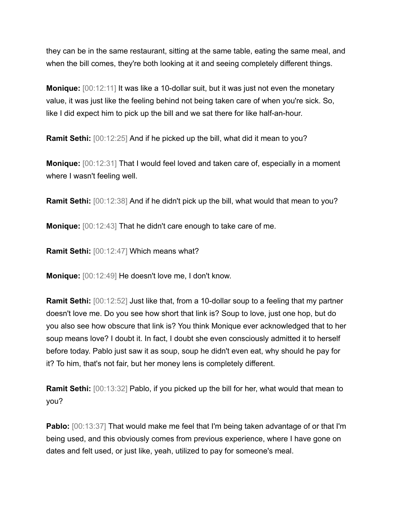they can be in the same restaurant, sitting at the same table, eating the same meal, and when the bill comes, they're both looking at it and seeing completely different things.

**Monique:** [00:12:11] It was like a 10-dollar suit, but it was just not even the monetary value, it was just like the feeling behind not being taken care of when you're sick. So, like I did expect him to pick up the bill and we sat there for like half-an-hour.

**Ramit Sethi:** [00:12:25] And if he picked up the bill, what did it mean to you?

**Monique:** [00:12:31] That I would feel loved and taken care of, especially in a moment where I wasn't feeling well.

**Ramit Sethi:** [00:12:38] And if he didn't pick up the bill, what would that mean to you?

**Monique:** [00:12:43] That he didn't care enough to take care of me.

**Ramit Sethi:** [00:12:47] Which means what?

**Monique:** [00:12:49] He doesn't love me, I don't know.

**Ramit Sethi:** [00:12:52] Just like that, from a 10-dollar soup to a feeling that my partner doesn't love me. Do you see how short that link is? Soup to love, just one hop, but do you also see how obscure that link is? You think Monique ever acknowledged that to her soup means love? I doubt it. In fact, I doubt she even consciously admitted it to herself before today. Pablo just saw it as soup, soup he didn't even eat, why should he pay for it? To him, that's not fair, but her money lens is completely different.

**Ramit Sethi:** [00:13:32] Pablo, if you picked up the bill for her, what would that mean to you?

**Pablo:** [00:13:37] That would make me feel that I'm being taken advantage of or that I'm being used, and this obviously comes from previous experience, where I have gone on dates and felt used, or just like, yeah, utilized to pay for someone's meal.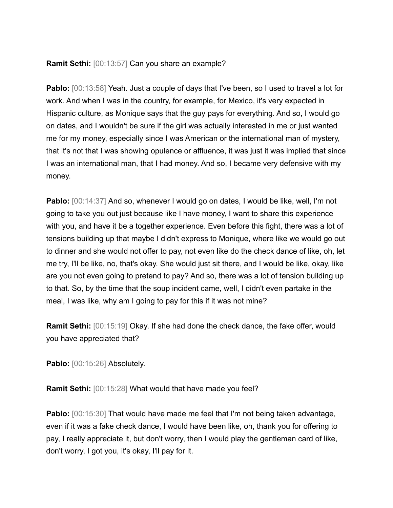## **Ramit Sethi:** [00:13:57] Can you share an example?

**Pablo:**  $[00:13:58]$  Yeah. Just a couple of days that I've been, so I used to travel a lot for work. And when I was in the country, for example, for Mexico, it's very expected in Hispanic culture, as Monique says that the guy pays for everything. And so, I would go on dates, and I wouldn't be sure if the girl was actually interested in me or just wanted me for my money, especially since I was American or the international man of mystery, that it's not that I was showing opulence or affluence, it was just it was implied that since I was an international man, that I had money. And so, I became very defensive with my money.

**Pablo:** [00:14:37] And so, whenever I would go on dates, I would be like, well, I'm not going to take you out just because like I have money, I want to share this experience with you, and have it be a together experience. Even before this fight, there was a lot of tensions building up that maybe I didn't express to Monique, where like we would go out to dinner and she would not offer to pay, not even like do the check dance of like, oh, let me try, I'll be like, no, that's okay. She would just sit there, and I would be like, okay, like are you not even going to pretend to pay? And so, there was a lot of tension building up to that. So, by the time that the soup incident came, well, I didn't even partake in the meal, I was like, why am I going to pay for this if it was not mine?

**Ramit Sethi:** [00:15:19] Okay. If she had done the check dance, the fake offer, would you have appreciated that?

**Pablo:** [00:15:26] Absolutely.

**Ramit Sethi:** [00:15:28] What would that have made you feel?

**Pablo:** [00:15:30] That would have made me feel that I'm not being taken advantage, even if it was a fake check dance, I would have been like, oh, thank you for offering to pay, I really appreciate it, but don't worry, then I would play the gentleman card of like, don't worry, I got you, it's okay, I'll pay for it.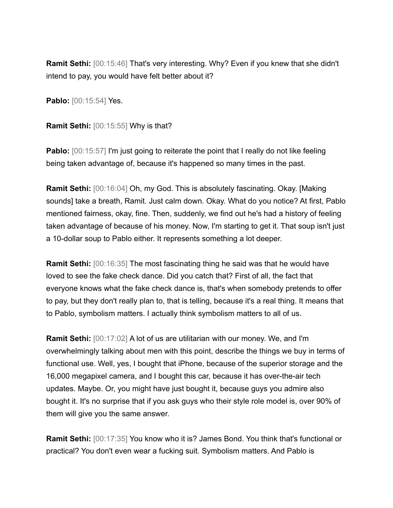**Ramit Sethi:** [00:15:46] That's very interesting. Why? Even if you knew that she didn't intend to pay, you would have felt better about it?

**Pablo:** [00:15:54] Yes.

**Ramit Sethi:** [00:15:55] Why is that?

**Pablo:** [00:15:57] I'm just going to reiterate the point that I really do not like feeling being taken advantage of, because it's happened so many times in the past.

**Ramit Sethi:** [00:16:04] Oh, my God. This is absolutely fascinating. Okay. [Making sounds] take a breath, Ramit. Just calm down. Okay. What do you notice? At first, Pablo mentioned fairness, okay, fine. Then, suddenly, we find out he's had a history of feeling taken advantage of because of his money. Now, I'm starting to get it. That soup isn't just a 10-dollar soup to Pablo either. It represents something a lot deeper.

**Ramit Sethi:** [00:16:35] The most fascinating thing he said was that he would have loved to see the fake check dance. Did you catch that? First of all, the fact that everyone knows what the fake check dance is, that's when somebody pretends to offer to pay, but they don't really plan to, that is telling, because it's a real thing. It means that to Pablo, symbolism matters. I actually think symbolism matters to all of us.

**Ramit Sethi:** [00:17:02] A lot of us are utilitarian with our money. We, and I'm overwhelmingly talking about men with this point, describe the things we buy in terms of functional use. Well, yes, I bought that iPhone, because of the superior storage and the 16,000 megapixel camera, and I bought this car, because it has over-the-air tech updates. Maybe. Or, you might have just bought it, because guys you admire also bought it. It's no surprise that if you ask guys who their style role model is, over 90% of them will give you the same answer.

**Ramit Sethi:** [00:17:35] You know who it is? James Bond. You think that's functional or practical? You don't even wear a fucking suit. Symbolism matters. And Pablo is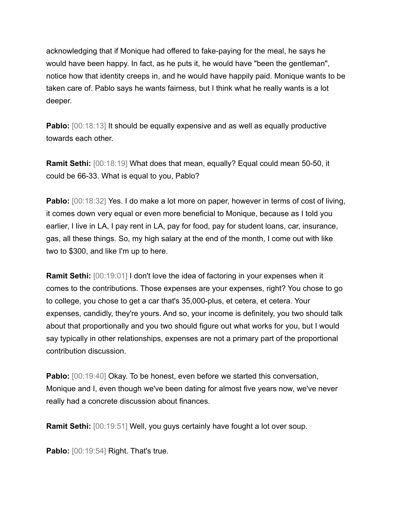acknowledging that if Monique had offered to fake-paying for the meal, he says he would have been happy. In fact, as he puts it, he would have "been the gentleman", notice how that identity creeps in, and he would have happily paid. Monique wants to be taken care of. Pablo says he wants fairness, but I think what he really wants is a lot deeper.

**Pablo:** [00:18:13] It should be equally expensive and as well as equally productive towards each other.

**Ramit Sethi:** [00:18:19] What does that mean, equally? Equal could mean 50-50, it could be 66-33. What is equal to you, Pablo?

**Pablo:**  $[00:18:32]$  Yes. I do make a lot more on paper, however in terms of cost of living, it comes down very equal or even more beneficial to Monique, because as I told you earlier, I live in LA, I pay rent in LA, pay for food, pay for student loans, car, insurance, gas, all these things. So, my high salary at the end of the month, I come out with like two to \$300, and like I'm up to here.

**Ramit Sethi:** [00:19:01] I don't love the idea of factoring in your expenses when it comes to the contributions. Those expenses are your expenses, right? You chose to go to college, you chose to get a car that's 35,000-plus, et cetera, et cetera. Your expenses, candidly, they're yours. And so, your income is definitely, you two should talk about that proportionally and you two should figure out what works for you, but I would say typically in other relationships, expenses are not a primary part of the proportional contribution discussion.

**Pablo:** [00:19:40] Okay. To be honest, even before we started this conversation, Monique and I, even though we've been dating for almost five years now, we've never really had a concrete discussion about finances.

**Ramit Sethi:** [00:19:51] Well, you guys certainly have fought a lot over soup.

**Pablo:** [00:19:54] Right. That's true.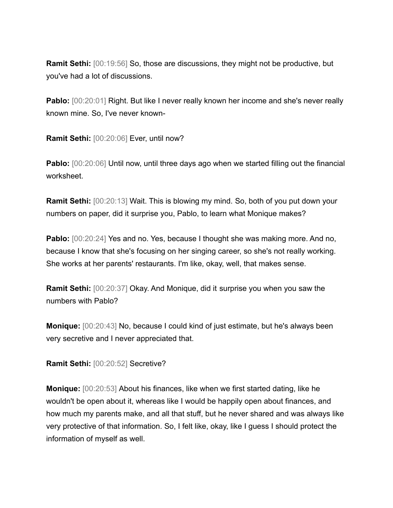**Ramit Sethi:** [00:19:56] So, those are discussions, they might not be productive, but you've had a lot of discussions.

**Pablo:**  $[00:20:01]$  Right. But like I never really known her income and she's never really known mine. So, I've never known-

**Ramit Sethi:** [00:20:06] Ever, until now?

**Pablo:** [00:20:06] Until now, until three days ago when we started filling out the financial worksheet.

**Ramit Sethi:** [00:20:13] Wait. This is blowing my mind. So, both of you put down your numbers on paper, did it surprise you, Pablo, to learn what Monique makes?

**Pablo:**  $[00:20:24]$  Yes and no. Yes, because I thought she was making more. And no, because I know that she's focusing on her singing career, so she's not really working. She works at her parents' restaurants. I'm like, okay, well, that makes sense.

**Ramit Sethi:** [00:20:37] Okay. And Monique, did it surprise you when you saw the numbers with Pablo?

**Monique:** [00:20:43] No, because I could kind of just estimate, but he's always been very secretive and I never appreciated that.

**Ramit Sethi:** [00:20:52] Secretive?

**Monique:** [00:20:53] About his finances, like when we first started dating, like he wouldn't be open about it, whereas like I would be happily open about finances, and how much my parents make, and all that stuff, but he never shared and was always like very protective of that information. So, I felt like, okay, like I guess I should protect the information of myself as well.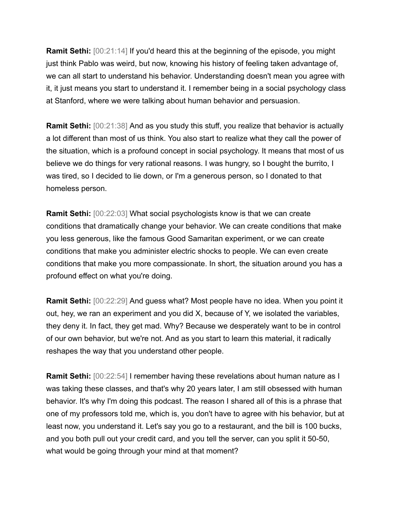**Ramit Sethi:** [00:21:14] If you'd heard this at the beginning of the episode, you might just think Pablo was weird, but now, knowing his history of feeling taken advantage of, we can all start to understand his behavior. Understanding doesn't mean you agree with it, it just means you start to understand it. I remember being in a social psychology class at Stanford, where we were talking about human behavior and persuasion.

**Ramit Sethi:** [00:21:38] And as you study this stuff, you realize that behavior is actually a lot different than most of us think. You also start to realize what they call the power of the situation, which is a profound concept in social psychology. It means that most of us believe we do things for very rational reasons. I was hungry, so I bought the burrito, I was tired, so I decided to lie down, or I'm a generous person, so I donated to that homeless person.

**Ramit Sethi:** [00:22:03] What social psychologists know is that we can create conditions that dramatically change your behavior. We can create conditions that make you less generous, like the famous Good Samaritan experiment, or we can create conditions that make you administer electric shocks to people. We can even create conditions that make you more compassionate. In short, the situation around you has a profound effect on what you're doing.

**Ramit Sethi:** [00:22:29] And quess what? Most people have no idea. When you point it out, hey, we ran an experiment and you did X, because of Y, we isolated the variables, they deny it. In fact, they get mad. Why? Because we desperately want to be in control of our own behavior, but we're not. And as you start to learn this material, it radically reshapes the way that you understand other people.

**Ramit Sethi:** [00:22:54] I remember having these revelations about human nature as I was taking these classes, and that's why 20 years later, I am still obsessed with human behavior. It's why I'm doing this podcast. The reason I shared all of this is a phrase that one of my professors told me, which is, you don't have to agree with his behavior, but at least now, you understand it. Let's say you go to a restaurant, and the bill is 100 bucks, and you both pull out your credit card, and you tell the server, can you split it 50-50, what would be going through your mind at that moment?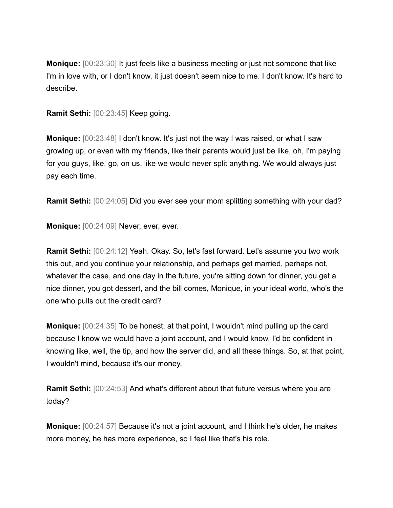**Monique:** [00:23:30] It just feels like a business meeting or just not someone that like I'm in love with, or I don't know, it just doesn't seem nice to me. I don't know. It's hard to describe.

**Ramit Sethi:** [00:23:45] Keep going.

**Monique:** [00:23:48] I don't know. It's just not the way I was raised, or what I saw growing up, or even with my friends, like their parents would just be like, oh, I'm paying for you guys, like, go, on us, like we would never split anything. We would always just pay each time.

**Ramit Sethi:** [00:24:05] Did you ever see your mom splitting something with your dad?

**Monique:** [00:24:09] Never, ever, ever.

**Ramit Sethi:** [00:24:12] Yeah. Okay. So, let's fast forward. Let's assume you two work this out, and you continue your relationship, and perhaps get married, perhaps not, whatever the case, and one day in the future, you're sitting down for dinner, you get a nice dinner, you got dessert, and the bill comes, Monique, in your ideal world, who's the one who pulls out the credit card?

**Monique:** [00:24:35] To be honest, at that point, I wouldn't mind pulling up the card because I know we would have a joint account, and I would know, I'd be confident in knowing like, well, the tip, and how the server did, and all these things. So, at that point, I wouldn't mind, because it's our money.

**Ramit Sethi:** [00:24:53] And what's different about that future versus where you are today?

**Monique:** [00:24:57] Because it's not a joint account, and I think he's older, he makes more money, he has more experience, so I feel like that's his role.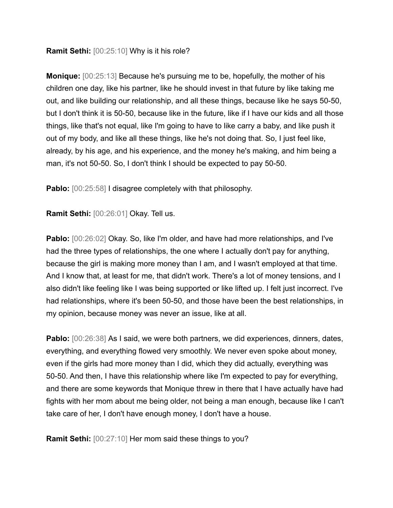## **Ramit Sethi:** [00:25:10] Why is it his role?

**Monique:** [00:25:13] Because he's pursuing me to be, hopefully, the mother of his children one day, like his partner, like he should invest in that future by like taking me out, and like building our relationship, and all these things, because like he says 50-50, but I don't think it is 50-50, because like in the future, like if I have our kids and all those things, like that's not equal, like I'm going to have to like carry a baby, and like push it out of my body, and like all these things, like he's not doing that. So, I just feel like, already, by his age, and his experience, and the money he's making, and him being a man, it's not 50-50. So, I don't think I should be expected to pay 50-50.

**Pablo:**  $[00:25:58]$  I disagree completely with that philosophy.

**Ramit Sethi:** [00:26:01] Okay. Tell us.

**Pablo:** [00:26:02] Okay. So, like I'm older, and have had more relationships, and I've had the three types of relationships, the one where I actually don't pay for anything, because the girl is making more money than I am, and I wasn't employed at that time. And I know that, at least for me, that didn't work. There's a lot of money tensions, and I also didn't like feeling like I was being supported or like lifted up. I felt just incorrect. I've had relationships, where it's been 50-50, and those have been the best relationships, in my opinion, because money was never an issue, like at all.

**Pablo:** [00:26:38] As I said, we were both partners, we did experiences, dinners, dates, everything, and everything flowed very smoothly. We never even spoke about money, even if the girls had more money than I did, which they did actually, everything was 50-50. And then, I have this relationship where like I'm expected to pay for everything, and there are some keywords that Monique threw in there that I have actually have had fights with her mom about me being older, not being a man enough, because like I can't take care of her, I don't have enough money, I don't have a house.

**Ramit Sethi:** [00:27:10] Her mom said these things to you?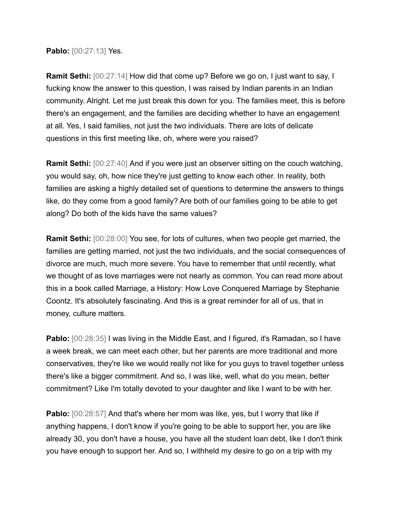**Pablo:** [00:27:13] Yes.

**Ramit Sethi:** [00:27:14] How did that come up? Before we go on, I just want to say, I fucking know the answer to this question, I was raised by Indian parents in an Indian community. Alright. Let me just break this down for you. The families meet, this is before there's an engagement, and the families are deciding whether to have an engagement at all. Yes, I said families, not just the two individuals. There are lots of delicate questions in this first meeting like, oh, where were you raised?

**Ramit Sethi:** [00:27:40] And if you were just an observer sitting on the couch watching, you would say, oh, how nice they're just getting to know each other. In reality, both families are asking a highly detailed set of questions to determine the answers to things like, do they come from a good family? Are both of our families going to be able to get along? Do both of the kids have the same values?

**Ramit Sethi:** [00:28:00] You see, for lots of cultures, when two people get married, the families are getting married, not just the two individuals, and the social consequences of divorce are much, much more severe. You have to remember that until recently, what we thought of as love marriages were not nearly as common. You can read more about this in a book called Marriage, a History: How Love Conquered Marriage by Stephanie Coontz. It's absolutely fascinating. And this is a great reminder for all of us, that in money, culture matters.

**Pablo:**  $[00:28:35]$  I was living in the Middle East, and I figured, it's Ramadan, so I have a week break, we can meet each other, but her parents are more traditional and more conservatives, they're like we would really not like for you guys to travel together unless there's like a bigger commitment. And so, I was like, well, what do you mean, better commitment? Like I'm totally devoted to your daughter and like I want to be with her.

**Pablo:** [00:28:57] And that's where her mom was like, yes, but I worry that like if anything happens, I don't know if you're going to be able to support her, you are like already 30, you don't have a house, you have all the student loan debt, like I don't think you have enough to support her. And so, I withheld my desire to go on a trip with my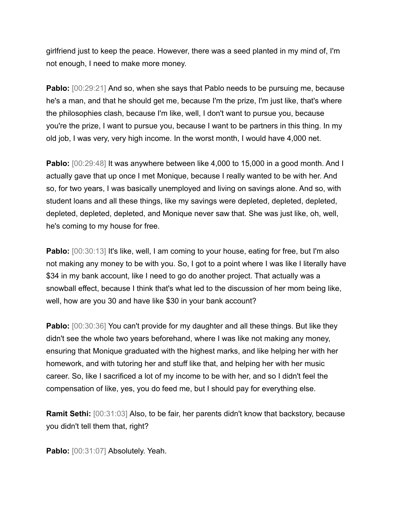girlfriend just to keep the peace. However, there was a seed planted in my mind of, I'm not enough, I need to make more money.

**Pablo:**  $[00:29:21]$  And so, when she says that Pablo needs to be pursuing me, because he's a man, and that he should get me, because I'm the prize, I'm just like, that's where the philosophies clash, because I'm like, well, I don't want to pursue you, because you're the prize, I want to pursue you, because I want to be partners in this thing. In my old job, I was very, very high income. In the worst month, I would have 4,000 net.

**Pablo:**  $[00:29:48]$  It was anywhere between like 4,000 to 15,000 in a good month. And I actually gave that up once I met Monique, because I really wanted to be with her. And so, for two years, I was basically unemployed and living on savings alone. And so, with student loans and all these things, like my savings were depleted, depleted, depleted, depleted, depleted, depleted, and Monique never saw that. She was just like, oh, well, he's coming to my house for free.

**Pablo:**  $[00:30:13]$  It's like, well, I am coming to your house, eating for free, but I'm also not making any money to be with you. So, I got to a point where I was like I literally have \$34 in my bank account, like I need to go do another project. That actually was a snowball effect, because I think that's what led to the discussion of her mom being like, well, how are you 30 and have like \$30 in your bank account?

**Pablo:**  $[00:30:36]$  You can't provide for my daughter and all these things. But like they didn't see the whole two years beforehand, where I was like not making any money, ensuring that Monique graduated with the highest marks, and like helping her with her homework, and with tutoring her and stuff like that, and helping her with her music career. So, like I sacrificed a lot of my income to be with her, and so I didn't feel the compensation of like, yes, you do feed me, but I should pay for everything else.

**Ramit Sethi:** [00:31:03] Also, to be fair, her parents didn't know that backstory, because you didn't tell them that, right?

Pablo: [00:31:07] Absolutely. Yeah.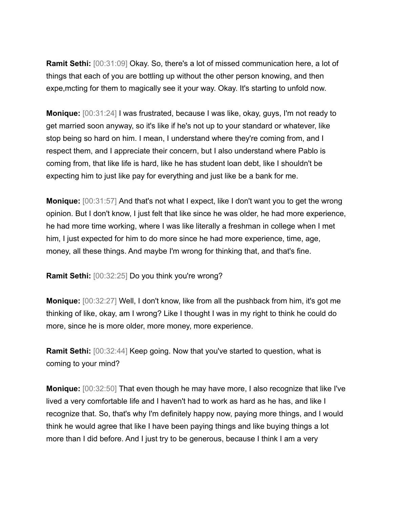**Ramit Sethi:** [00:31:09] Okay. So, there's a lot of missed communication here, a lot of things that each of you are bottling up without the other person knowing, and then expe,mcting for them to magically see it your way. Okay. It's starting to unfold now.

**Monique:** [00:31:24] I was frustrated, because I was like, okay, guys, I'm not ready to get married soon anyway, so it's like if he's not up to your standard or whatever, like stop being so hard on him. I mean, I understand where they're coming from, and I respect them, and I appreciate their concern, but I also understand where Pablo is coming from, that like life is hard, like he has student loan debt, like I shouldn't be expecting him to just like pay for everything and just like be a bank for me.

**Monique:** [00:31:57] And that's not what I expect, like I don't want you to get the wrong opinion. But I don't know, I just felt that like since he was older, he had more experience, he had more time working, where I was like literally a freshman in college when I met him, I just expected for him to do more since he had more experience, time, age, money, all these things. And maybe I'm wrong for thinking that, and that's fine.

**Ramit Sethi:** [00:32:25] Do you think you're wrong?

**Monique:** [00:32:27] Well, I don't know, like from all the pushback from him, it's got me thinking of like, okay, am I wrong? Like I thought I was in my right to think he could do more, since he is more older, more money, more experience.

**Ramit Sethi:** [00:32:44] Keep going. Now that you've started to question, what is coming to your mind?

**Monique:** [00:32:50] That even though he may have more, I also recognize that like I've lived a very comfortable life and I haven't had to work as hard as he has, and like I recognize that. So, that's why I'm definitely happy now, paying more things, and I would think he would agree that like I have been paying things and like buying things a lot more than I did before. And I just try to be generous, because I think I am a very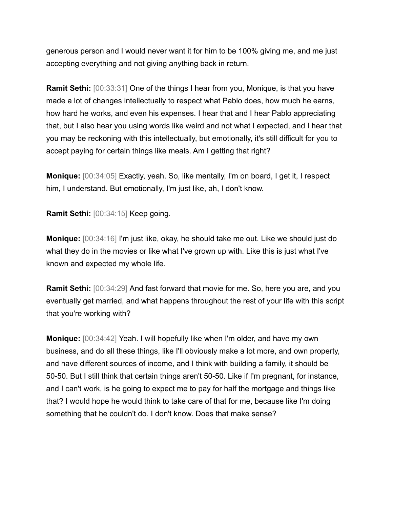generous person and I would never want it for him to be 100% giving me, and me just accepting everything and not giving anything back in return.

**Ramit Sethi:** [00:33:31] One of the things I hear from you, Monique, is that you have made a lot of changes intellectually to respect what Pablo does, how much he earns, how hard he works, and even his expenses. I hear that and I hear Pablo appreciating that, but I also hear you using words like weird and not what I expected, and I hear that you may be reckoning with this intellectually, but emotionally, it's still difficult for you to accept paying for certain things like meals. Am I getting that right?

**Monique:** [00:34:05] Exactly, yeah. So, like mentally, I'm on board, I get it, I respect him, I understand. But emotionally, I'm just like, ah, I don't know.

**Ramit Sethi:** [00:34:15] Keep going.

**Monique:** [00:34:16] I'm just like, okay, he should take me out. Like we should just do what they do in the movies or like what I've grown up with. Like this is just what I've known and expected my whole life.

**Ramit Sethi:** [00:34:29] And fast forward that movie for me. So, here you are, and you eventually get married, and what happens throughout the rest of your life with this script that you're working with?

**Monique:** [00:34:42] Yeah. I will hopefully like when I'm older, and have my own business, and do all these things, like I'll obviously make a lot more, and own property, and have different sources of income, and I think with building a family, it should be 50-50. But I still think that certain things aren't 50-50. Like if I'm pregnant, for instance, and I can't work, is he going to expect me to pay for half the mortgage and things like that? I would hope he would think to take care of that for me, because like I'm doing something that he couldn't do. I don't know. Does that make sense?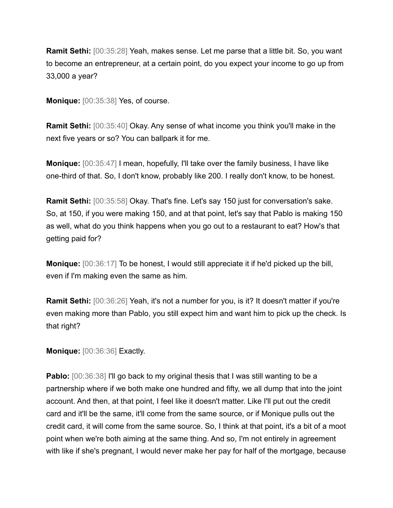**Ramit Sethi:** [00:35:28] Yeah, makes sense. Let me parse that a little bit. So, you want to become an entrepreneur, at a certain point, do you expect your income to go up from 33,000 a year?

**Monique:** [00:35:38] Yes, of course.

**Ramit Sethi:** [00:35:40] Okay. Any sense of what income you think you'll make in the next five years or so? You can ballpark it for me.

**Monique:** [00:35:47] I mean, hopefully, I'll take over the family business, I have like one-third of that. So, I don't know, probably like 200. I really don't know, to be honest.

**Ramit Sethi:** [00:35:58] Okay. That's fine. Let's say 150 just for conversation's sake. So, at 150, if you were making 150, and at that point, let's say that Pablo is making 150 as well, what do you think happens when you go out to a restaurant to eat? How's that getting paid for?

**Monique:** [00:36:17] To be honest, I would still appreciate it if he'd picked up the bill, even if I'm making even the same as him.

**Ramit Sethi:** [00:36:26] Yeah, it's not a number for you, is it? It doesn't matter if you're even making more than Pablo, you still expect him and want him to pick up the check. Is that right?

**Monique:** [00:36:36] Exactly.

**Pablo:**  $[00:36:38]$  I'll go back to my original thesis that I was still wanting to be a partnership where if we both make one hundred and fifty, we all dump that into the joint account. And then, at that point, I feel like it doesn't matter. Like I'll put out the credit card and it'll be the same, it'll come from the same source, or if Monique pulls out the credit card, it will come from the same source. So, I think at that point, it's a bit of a moot point when we're both aiming at the same thing. And so, I'm not entirely in agreement with like if she's pregnant, I would never make her pay for half of the mortgage, because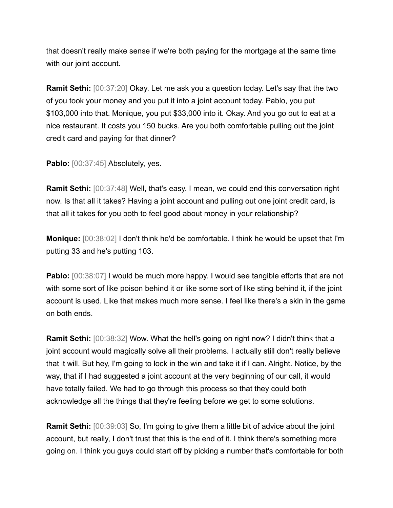that doesn't really make sense if we're both paying for the mortgage at the same time with our joint account.

**Ramit Sethi:** [00:37:20] Okay. Let me ask you a question today. Let's say that the two of you took your money and you put it into a joint account today. Pablo, you put \$103,000 into that. Monique, you put \$33,000 into it. Okay. And you go out to eat at a nice restaurant. It costs you 150 bucks. Are you both comfortable pulling out the joint credit card and paying for that dinner?

Pablo: [00:37:45] Absolutely, yes.

**Ramit Sethi:** [00:37:48] Well, that's easy. I mean, we could end this conversation right now. Is that all it takes? Having a joint account and pulling out one joint credit card, is that all it takes for you both to feel good about money in your relationship?

**Monique:** [00:38:02] I don't think he'd be comfortable. I think he would be upset that I'm putting 33 and he's putting 103.

**Pablo:**  $[00:38:07]$  I would be much more happy. I would see tangible efforts that are not with some sort of like poison behind it or like some sort of like sting behind it, if the joint account is used. Like that makes much more sense. I feel like there's a skin in the game on both ends.

**Ramit Sethi:** [00:38:32] Wow. What the hell's going on right now? I didn't think that a joint account would magically solve all their problems. I actually still don't really believe that it will. But hey, I'm going to lock in the win and take it if I can. Alright. Notice, by the way, that if I had suggested a joint account at the very beginning of our call, it would have totally failed. We had to go through this process so that they could both acknowledge all the things that they're feeling before we get to some solutions.

**Ramit Sethi:** [00:39:03] So, I'm going to give them a little bit of advice about the joint account, but really, I don't trust that this is the end of it. I think there's something more going on. I think you guys could start off by picking a number that's comfortable for both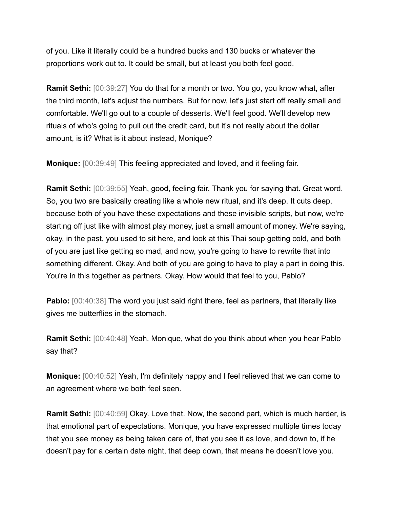of you. Like it literally could be a hundred bucks and 130 bucks or whatever the proportions work out to. It could be small, but at least you both feel good.

**Ramit Sethi:** [00:39:27] You do that for a month or two. You go, you know what, after the third month, let's adjust the numbers. But for now, let's just start off really small and comfortable. We'll go out to a couple of desserts. We'll feel good. We'll develop new rituals of who's going to pull out the credit card, but it's not really about the dollar amount, is it? What is it about instead, Monique?

**Monique:** [00:39:49] This feeling appreciated and loved, and it feeling fair.

**Ramit Sethi:** [00:39:55] Yeah, good, feeling fair. Thank you for saying that. Great word. So, you two are basically creating like a whole new ritual, and it's deep. It cuts deep, because both of you have these expectations and these invisible scripts, but now, we're starting off just like with almost play money, just a small amount of money. We're saying, okay, in the past, you used to sit here, and look at this Thai soup getting cold, and both of you are just like getting so mad, and now, you're going to have to rewrite that into something different. Okay. And both of you are going to have to play a part in doing this. You're in this together as partners. Okay. How would that feel to you, Pablo?

**Pablo:** [00:40:38] The word you just said right there, feel as partners, that literally like gives me butterflies in the stomach.

**Ramit Sethi:** [00:40:48] Yeah. Monique, what do you think about when you hear Pablo say that?

**Monique:** [00:40:52] Yeah, I'm definitely happy and I feel relieved that we can come to an agreement where we both feel seen.

**Ramit Sethi:** [00:40:59] Okay. Love that. Now, the second part, which is much harder, is that emotional part of expectations. Monique, you have expressed multiple times today that you see money as being taken care of, that you see it as love, and down to, if he doesn't pay for a certain date night, that deep down, that means he doesn't love you.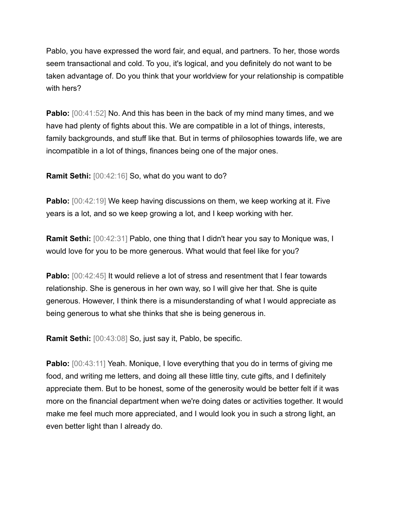Pablo, you have expressed the word fair, and equal, and partners. To her, those words seem transactional and cold. To you, it's logical, and you definitely do not want to be taken advantage of. Do you think that your worldview for your relationship is compatible with hers?

**Pablo:** [00:41:52] No. And this has been in the back of my mind many times, and we have had plenty of fights about this. We are compatible in a lot of things, interests, family backgrounds, and stuff like that. But in terms of philosophies towards life, we are incompatible in a lot of things, finances being one of the major ones.

**Ramit Sethi:** [00:42:16] So, what do you want to do?

**Pablo:** [00:42:19] We keep having discussions on them, we keep working at it. Five years is a lot, and so we keep growing a lot, and I keep working with her.

**Ramit Sethi:** [00:42:31] Pablo, one thing that I didn't hear you say to Monique was, I would love for you to be more generous. What would that feel like for you?

**Pablo:**  $[00:42:45]$  It would relieve a lot of stress and resentment that I fear towards relationship. She is generous in her own way, so I will give her that. She is quite generous. However, I think there is a misunderstanding of what I would appreciate as being generous to what she thinks that she is being generous in.

**Ramit Sethi:** [00:43:08] So, just say it, Pablo, be specific.

**Pablo:** [00:43:11] Yeah. Monique, I love everything that you do in terms of giving me food, and writing me letters, and doing all these little tiny, cute gifts, and I definitely appreciate them. But to be honest, some of the generosity would be better felt if it was more on the financial department when we're doing dates or activities together. It would make me feel much more appreciated, and I would look you in such a strong light, an even better light than I already do.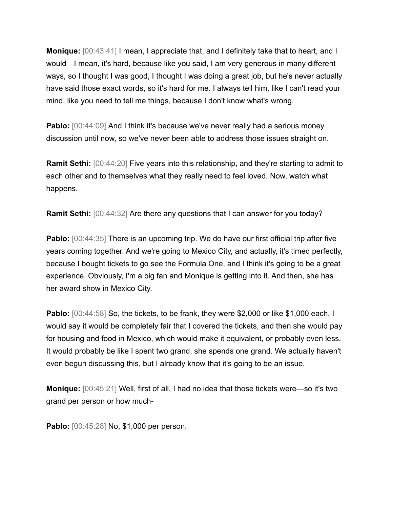**Monique:** [00:43:41] I mean, I appreciate that, and I definitely take that to heart, and I would—I mean, it's hard, because like you said, I am very generous in many different ways, so I thought I was good, I thought I was doing a great job, but he's never actually have said those exact words, so it's hard for me. I always tell him, like I can't read your mind, like you need to tell me things, because I don't know what's wrong.

**Pablo:** [00:44:09] And I think it's because we've never really had a serious money discussion until now, so we've never been able to address those issues straight on.

**Ramit Sethi:** [00:44:20] Five years into this relationship, and they're starting to admit to each other and to themselves what they really need to feel loved. Now, watch what happens.

**Ramit Sethi:** [00:44:32] Are there any questions that I can answer for you today?

**Pablo:** [00:44:35] There is an upcoming trip. We do have our first official trip after five years coming together. And we're going to Mexico City, and actually, it's timed perfectly, because I bought tickets to go see the Formula One, and I think it's going to be a great experience. Obviously, I'm a big fan and Monique is getting into it. And then, she has her award show in Mexico City.

**Pablo:** [00:44:58] So, the tickets, to be frank, they were \$2,000 or like \$1,000 each. I would say it would be completely fair that I covered the tickets, and then she would pay for housing and food in Mexico, which would make it equivalent, or probably even less. It would probably be like I spent two grand, she spends one grand. We actually haven't even begun discussing this, but I already know that it's going to be an issue.

**Monique:** [00:45:21] Well, first of all, I had no idea that those tickets were—so it's two grand per person or how much-

**Pablo:** [00:45:28] No, \$1,000 per person.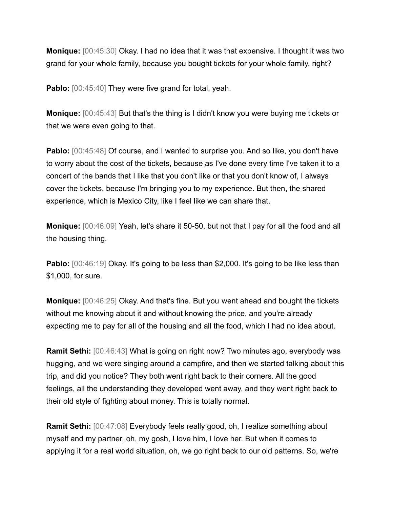**Monique:** [00:45:30] Okay. I had no idea that it was that expensive. I thought it was two grand for your whole family, because you bought tickets for your whole family, right?

**Pablo:** [00:45:40] They were five grand for total, yeah.

**Monique:** [00:45:43] But that's the thing is I didn't know you were buying me tickets or that we were even going to that.

**Pablo:** [00:45:48] Of course, and I wanted to surprise you. And so like, you don't have to worry about the cost of the tickets, because as I've done every time I've taken it to a concert of the bands that I like that you don't like or that you don't know of, I always cover the tickets, because I'm bringing you to my experience. But then, the shared experience, which is Mexico City, like I feel like we can share that.

**Monique:** [00:46:09] Yeah, let's share it 50-50, but not that I pay for all the food and all the housing thing.

**Pablo:** [00:46:19] Okay. It's going to be less than \$2,000. It's going to be like less than \$1,000, for sure.

**Monique:** [00:46:25] Okay. And that's fine. But you went ahead and bought the tickets without me knowing about it and without knowing the price, and you're already expecting me to pay for all of the housing and all the food, which I had no idea about.

**Ramit Sethi:** [00:46:43] What is going on right now? Two minutes ago, everybody was hugging, and we were singing around a campfire, and then we started talking about this trip, and did you notice? They both went right back to their corners. All the good feelings, all the understanding they developed went away, and they went right back to their old style of fighting about money. This is totally normal.

**Ramit Sethi:** [00:47:08] Everybody feels really good, oh, I realize something about myself and my partner, oh, my gosh, I love him, I love her. But when it comes to applying it for a real world situation, oh, we go right back to our old patterns. So, we're